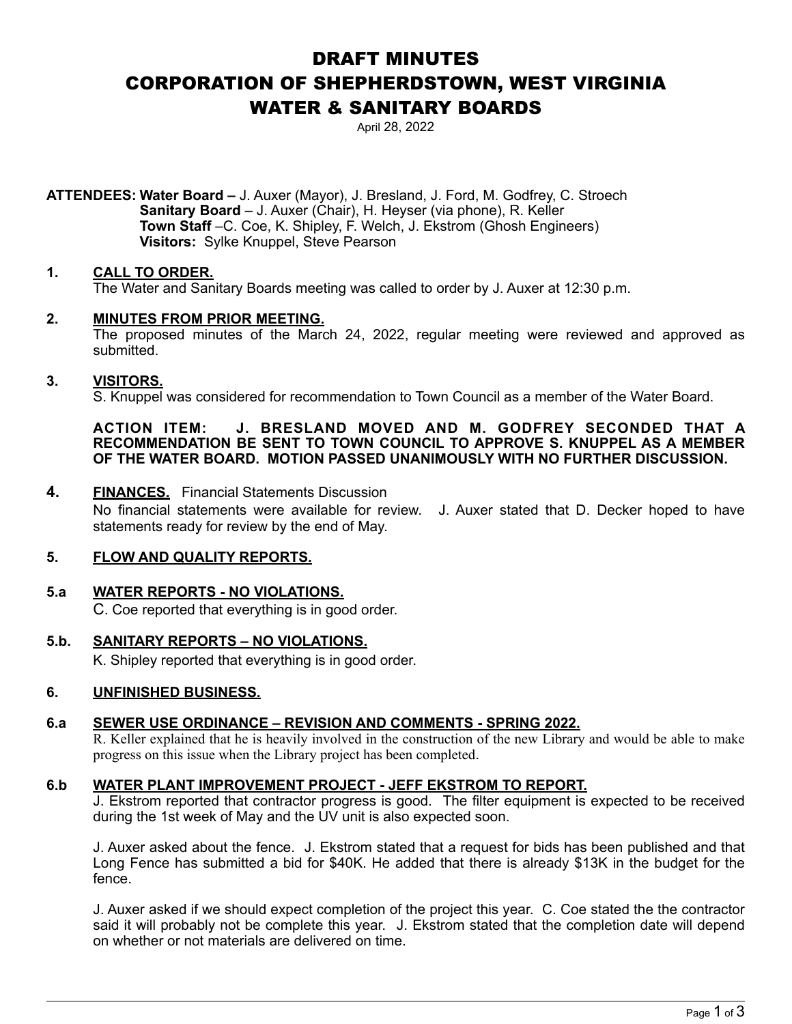# DRAFT MINUTES CORPORATION OF SHEPHERDSTOWN, WEST VIRGINIA WATER & SANITARY BOARDS

April 28, 2022

**ATTENDEES: Water Board –** J. Auxer (Mayor), J. Bresland, J. Ford, M. Godfrey, C. Stroech **Sanitary Board** – J. Auxer (Chair), H. Heyser (via phone), R. Keller **Town Staff** –C. Coe, K. Shipley, F. Welch, J. Ekstrom (Ghosh Engineers) **Visitors:** Sylke Knuppel, Steve Pearson

# **1. CALL TO ORDER.**

The Water and Sanitary Boards meeting was called to order by J. Auxer at 12:30 p.m.

# **2. MINUTES FROM PRIOR MEETING.**

The proposed minutes of the March 24, 2022, regular meeting were reviewed and approved as submitted.

# **3. VISITORS.**

S. Knuppel was considered for recommendation to Town Council as a member of the Water Board.

#### **ACTION ITEM: J. BRESLAND MOVED AND M. GODFREY SECONDED THAT A RECOMMENDATION BE SENT TO TOWN COUNCIL TO APPROVE S. KNUPPEL AS A MEMBER OF THE WATER BOARD. MOTION PASSED UNANIMOUSLY WITH NO FURTHER DISCUSSION.**

**4. FINANCES.** Financial Statements Discussion No financial statements were available for review. J. Auxer stated that D. Decker hoped to have statements ready for review by the end of May.

# **5. FLOW AND QUALITY REPORTS.**

# **5.a WATER REPORTS - NO VIOLATIONS.**

C. Coe reported that everything is in good order.

# **5.b. SANITARY REPORTS – NO VIOLATIONS.**

K. Shipley reported that everything is in good order.

#### **6. UNFINISHED BUSINESS.**

#### **6.a SEWER USE ORDINANCE – REVISION AND COMMENTS - SPRING 2022.**

R. Keller explained that he is heavily involved in the construction of the new Library and would be able to make progress on this issue when the Library project has been completed.

#### **6.b WATER PLANT IMPROVEMENT PROJECT - JEFF EKSTROM TO REPORT.**

 J. Ekstrom reported that contractor progress is good. The filter equipment is expected to be received during the 1st week of May and the UV unit is also expected soon.

 J. Auxer asked about the fence. J. Ekstrom stated that a request for bids has been published and that Long Fence has submitted a bid for \$40K. He added that there is already \$13K in the budget for the fence.

 J. Auxer asked if we should expect completion of the project this year. C. Coe stated the the contractor said it will probably not be complete this year. J. Ekstrom stated that the completion date will depend on whether or not materials are delivered on time.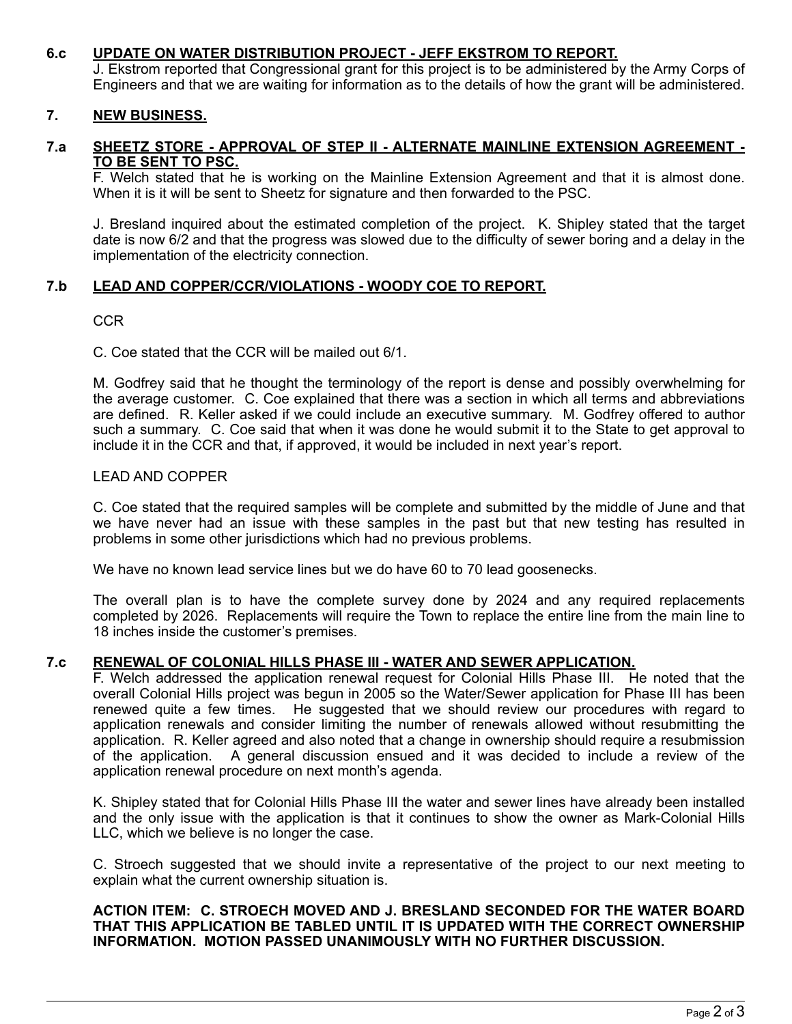# **6.c UPDATE ON WATER DISTRIBUTION PROJECT - JEFF EKSTROM TO REPORT.**

 J. Ekstrom reported that Congressional grant for this project is to be administered by the Army Corps of Engineers and that we are waiting for information as to the details of how the grant will be administered.

# **7. NEW BUSINESS.**

# **7.a SHEETZ STORE - APPROVAL OF STEP II - ALTERNATE MAINLINE EXTENSION AGREEMENT - TO BE SENT TO PSC.**

F. Welch stated that he is working on the Mainline Extension Agreement and that it is almost done. When it is it will be sent to Sheetz for signature and then forwarded to the PSC.

J. Bresland inquired about the estimated completion of the project. K. Shipley stated that the target date is now 6/2 and that the progress was slowed due to the difficulty of sewer boring and a delay in the implementation of the electricity connection.

# **7.b LEAD AND COPPER/CCR/VIOLATIONS - WOODY COE TO REPORT.**

#### **CCR**

C. Coe stated that the CCR will be mailed out 6/1.

M. Godfrey said that he thought the terminology of the report is dense and possibly overwhelming for the average customer. C. Coe explained that there was a section in which all terms and abbreviations are defined. R. Keller asked if we could include an executive summary. M. Godfrey offered to author such a summary. C. Coe said that when it was done he would submit it to the State to get approval to include it in the CCR and that, if approved, it would be included in next year's report.

#### LEAD AND COPPER

C. Coe stated that the required samples will be complete and submitted by the middle of June and that we have never had an issue with these samples in the past but that new testing has resulted in problems in some other jurisdictions which had no previous problems.

We have no known lead service lines but we do have 60 to 70 lead goosenecks.

The overall plan is to have the complete survey done by 2024 and any required replacements completed by 2026. Replacements will require the Town to replace the entire line from the main line to 18 inches inside the customer's premises.

#### **7.c RENEWAL OF COLONIAL HILLS PHASE III - WATER AND SEWER APPLICATION.**

F. Welch addressed the application renewal request for Colonial Hills Phase III. He noted that the overall Colonial Hills project was begun in 2005 so the Water/Sewer application for Phase III has been renewed quite a few times. He suggested that we should review our procedures with regard to application renewals and consider limiting the number of renewals allowed without resubmitting the application. R. Keller agreed and also noted that a change in ownership should require a resubmission of the application. A general discussion ensued and it was decided to include a review of the application renewal procedure on next month's agenda.

K. Shipley stated that for Colonial Hills Phase III the water and sewer lines have already been installed and the only issue with the application is that it continues to show the owner as Mark-Colonial Hills LLC, which we believe is no longer the case.

C. Stroech suggested that we should invite a representative of the project to our next meeting to explain what the current ownership situation is.

#### **ACTION ITEM: C. STROECH MOVED AND J. BRESLAND SECONDED FOR THE WATER BOARD THAT THIS APPLICATION BE TABLED UNTIL IT IS UPDATED WITH THE CORRECT OWNERSHIP INFORMATION. MOTION PASSED UNANIMOUSLY WITH NO FURTHER DISCUSSION.**